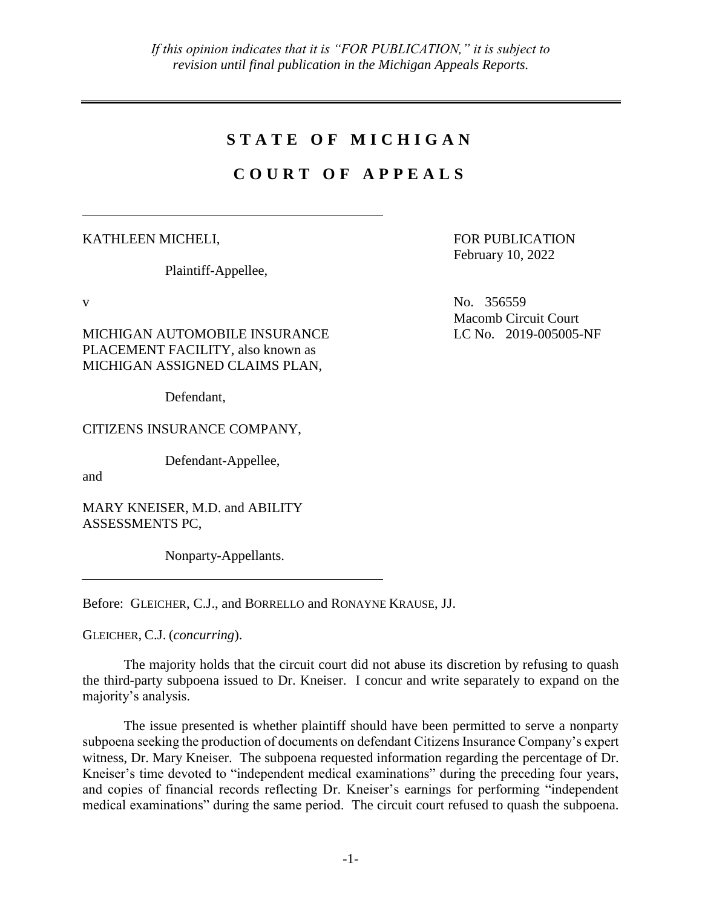## **S T A T E O F M I C H I G A N**

# **C O U R T O F A P P E A L S**

KATHLEEN MICHELI,

Plaintiff-Appellee,

MICHIGAN AUTOMOBILE INSURANCE PLACEMENT FACILITY, also known as MICHIGAN ASSIGNED CLAIMS PLAN,

Defendant,

CITIZENS INSURANCE COMPANY,

Defendant-Appellee,

and

MARY KNEISER, M.D. and ABILITY ASSESSMENTS PC,

Nonparty-Appellants.

Before: GLEICHER, C.J., and BORRELLO and RONAYNE KRAUSE, JJ.

GLEICHER, C.J. (*concurring*).

The majority holds that the circuit court did not abuse its discretion by refusing to quash the third-party subpoena issued to Dr. Kneiser. I concur and write separately to expand on the majority's analysis.

The issue presented is whether plaintiff should have been permitted to serve a nonparty subpoena seeking the production of documents on defendant Citizens Insurance Company's expert witness, Dr. Mary Kneiser. The subpoena requested information regarding the percentage of Dr. Kneiser's time devoted to "independent medical examinations" during the preceding four years, and copies of financial records reflecting Dr. Kneiser's earnings for performing "independent medical examinations" during the same period. The circuit court refused to quash the subpoena.

FOR PUBLICATION February 10, 2022

 $V$  No. 356559 Macomb Circuit Court LC No. 2019-005005-NF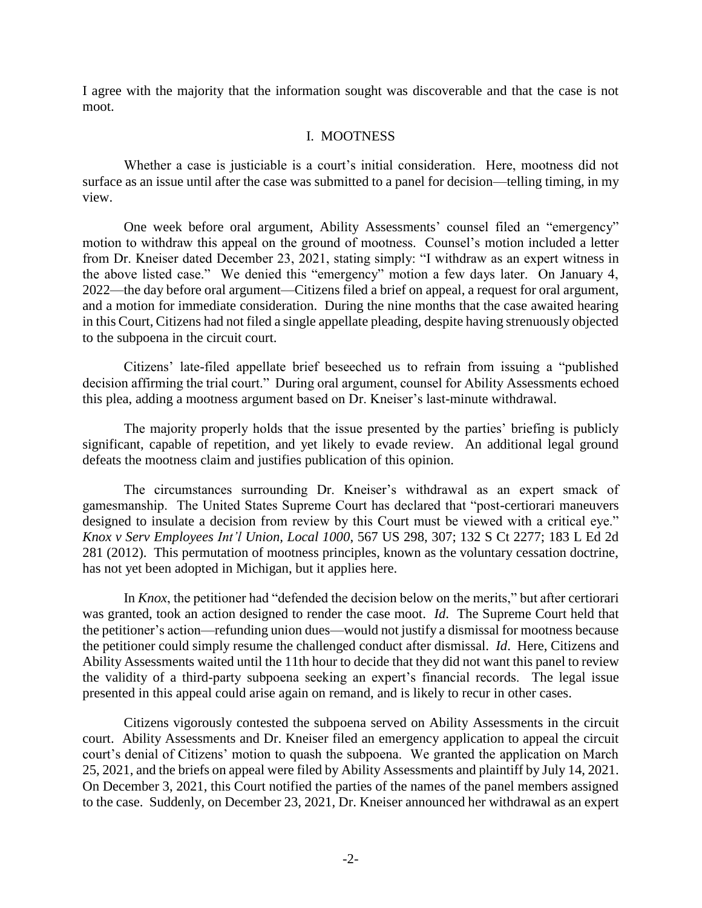I agree with the majority that the information sought was discoverable and that the case is not moot.

#### I. MOOTNESS

Whether a case is justiciable is a court's initial consideration. Here, mootness did not surface as an issue until after the case was submitted to a panel for decision—telling timing, in my view.

One week before oral argument, Ability Assessments' counsel filed an "emergency" motion to withdraw this appeal on the ground of mootness. Counsel's motion included a letter from Dr. Kneiser dated December 23, 2021, stating simply: "I withdraw as an expert witness in the above listed case." We denied this "emergency" motion a few days later. On January 4, 2022—the day before oral argument—Citizens filed a brief on appeal, a request for oral argument, and a motion for immediate consideration. During the nine months that the case awaited hearing in this Court, Citizens had not filed a single appellate pleading, despite having strenuously objected to the subpoena in the circuit court.

Citizens' late-filed appellate brief beseeched us to refrain from issuing a "published decision affirming the trial court." During oral argument, counsel for Ability Assessments echoed this plea, adding a mootness argument based on Dr. Kneiser's last-minute withdrawal.

The majority properly holds that the issue presented by the parties' briefing is publicly significant, capable of repetition, and yet likely to evade review. An additional legal ground defeats the mootness claim and justifies publication of this opinion.

The circumstances surrounding Dr. Kneiser's withdrawal as an expert smack of gamesmanship. The United States Supreme Court has declared that "post-certiorari maneuvers designed to insulate a decision from review by this Court must be viewed with a critical eye." *Knox v Serv Employees Int'l Union, Local 1000*, 567 US 298, 307; 132 S Ct 2277; 183 L Ed 2d 281 (2012). This permutation of mootness principles, known as the voluntary cessation doctrine, has not yet been adopted in Michigan, but it applies here.

In *Knox*, the petitioner had "defended the decision below on the merits," but after certiorari was granted, took an action designed to render the case moot. *Id*. The Supreme Court held that the petitioner's action—refunding union dues—would not justify a dismissal for mootness because the petitioner could simply resume the challenged conduct after dismissal. *Id*. Here, Citizens and Ability Assessments waited until the 11th hour to decide that they did not want this panel to review the validity of a third-party subpoena seeking an expert's financial records. The legal issue presented in this appeal could arise again on remand, and is likely to recur in other cases.

Citizens vigorously contested the subpoena served on Ability Assessments in the circuit court. Ability Assessments and Dr. Kneiser filed an emergency application to appeal the circuit court's denial of Citizens' motion to quash the subpoena. We granted the application on March 25, 2021, and the briefs on appeal were filed by Ability Assessments and plaintiff by July 14, 2021. On December 3, 2021, this Court notified the parties of the names of the panel members assigned to the case. Suddenly, on December 23, 2021, Dr. Kneiser announced her withdrawal as an expert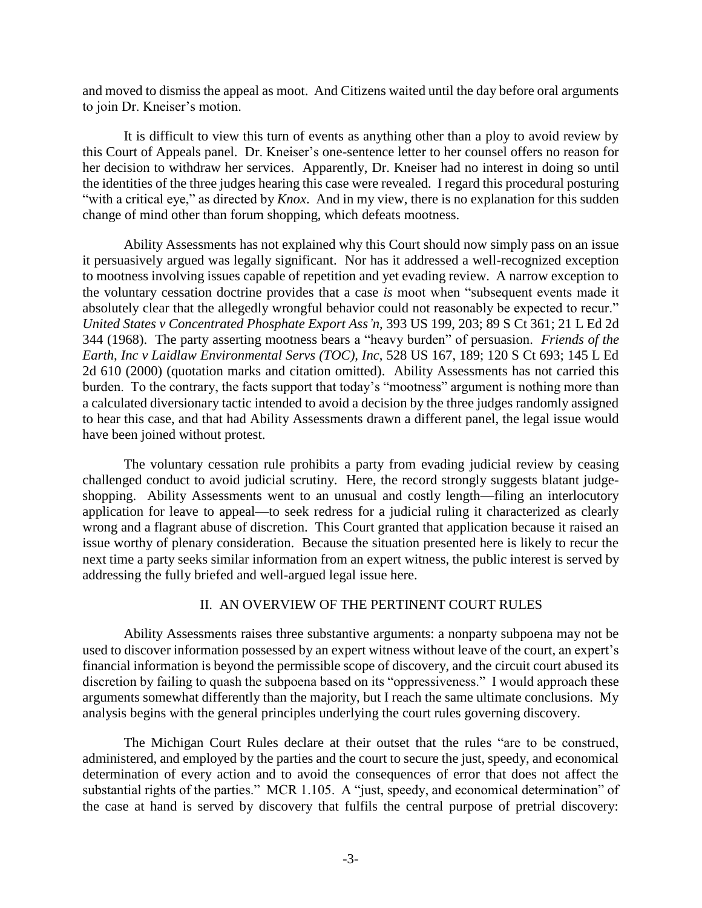and moved to dismiss the appeal as moot. And Citizens waited until the day before oral arguments to join Dr. Kneiser's motion.

It is difficult to view this turn of events as anything other than a ploy to avoid review by this Court of Appeals panel. Dr. Kneiser's one-sentence letter to her counsel offers no reason for her decision to withdraw her services. Apparently, Dr. Kneiser had no interest in doing so until the identities of the three judges hearing this case were revealed. I regard this procedural posturing "with a critical eye," as directed by *Knox*. And in my view, there is no explanation for this sudden change of mind other than forum shopping, which defeats mootness.

Ability Assessments has not explained why this Court should now simply pass on an issue it persuasively argued was legally significant. Nor has it addressed a well-recognized exception to mootness involving issues capable of repetition and yet evading review. A narrow exception to the voluntary cessation doctrine provides that a case *is* moot when "subsequent events made it absolutely clear that the allegedly wrongful behavior could not reasonably be expected to recur." *United States v Concentrated Phosphate Export Ass'n*, 393 US 199, 203; 89 S Ct 361; 21 L Ed 2d 344 (1968). The party asserting mootness bears a "heavy burden" of persuasion. *Friends of the Earth, Inc v Laidlaw Environmental Servs (TOC), Inc*, 528 US 167, 189; 120 S Ct 693; 145 L Ed 2d 610 (2000) (quotation marks and citation omitted). Ability Assessments has not carried this burden. To the contrary, the facts support that today's "mootness" argument is nothing more than a calculated diversionary tactic intended to avoid a decision by the three judges randomly assigned to hear this case, and that had Ability Assessments drawn a different panel, the legal issue would have been joined without protest.

The voluntary cessation rule prohibits a party from evading judicial review by ceasing challenged conduct to avoid judicial scrutiny. Here, the record strongly suggests blatant judgeshopping. Ability Assessments went to an unusual and costly length—filing an interlocutory application for leave to appeal—to seek redress for a judicial ruling it characterized as clearly wrong and a flagrant abuse of discretion. This Court granted that application because it raised an issue worthy of plenary consideration. Because the situation presented here is likely to recur the next time a party seeks similar information from an expert witness, the public interest is served by addressing the fully briefed and well-argued legal issue here.

#### II. AN OVERVIEW OF THE PERTINENT COURT RULES

Ability Assessments raises three substantive arguments: a nonparty subpoena may not be used to discover information possessed by an expert witness without leave of the court, an expert's financial information is beyond the permissible scope of discovery, and the circuit court abused its discretion by failing to quash the subpoena based on its "oppressiveness." I would approach these arguments somewhat differently than the majority, but I reach the same ultimate conclusions. My analysis begins with the general principles underlying the court rules governing discovery.

The Michigan Court Rules declare at their outset that the rules "are to be construed, administered, and employed by the parties and the court to secure the just, speedy, and economical determination of every action and to avoid the consequences of error that does not affect the substantial rights of the parties." MCR 1.105. A "just, speedy, and economical determination" of the case at hand is served by discovery that fulfils the central purpose of pretrial discovery: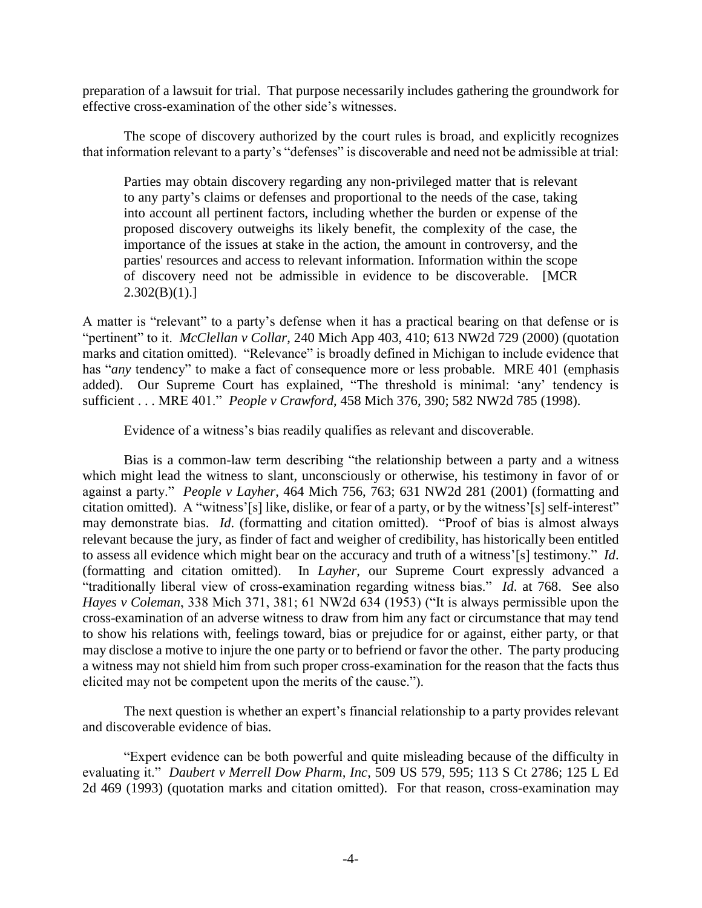preparation of a lawsuit for trial. That purpose necessarily includes gathering the groundwork for effective cross-examination of the other side's witnesses.

The scope of discovery authorized by the court rules is broad, and explicitly recognizes that information relevant to a party's "defenses" is discoverable and need not be admissible at trial:

Parties may obtain discovery regarding any non-privileged matter that is relevant to any party's claims or defenses and proportional to the needs of the case, taking into account all pertinent factors, including whether the burden or expense of the proposed discovery outweighs its likely benefit, the complexity of the case, the importance of the issues at stake in the action, the amount in controversy, and the parties' resources and access to relevant information. Information within the scope of discovery need not be admissible in evidence to be discoverable. [MCR  $2.302(B)(1).$ 

A matter is "relevant" to a party's defense when it has a practical bearing on that defense or is "pertinent" to it. *McClellan v Collar*, 240 Mich App 403, 410; 613 NW2d 729 (2000) (quotation marks and citation omitted). "Relevance" is broadly defined in Michigan to include evidence that has "*any* tendency" to make a fact of consequence more or less probable. MRE 401 (emphasis added). Our Supreme Court has explained, "The threshold is minimal: 'any' tendency is sufficient . . . MRE 401." *People v Crawford*, 458 Mich 376, 390; 582 NW2d 785 (1998).

Evidence of a witness's bias readily qualifies as relevant and discoverable.

Bias is a common-law term describing "the relationship between a party and a witness which might lead the witness to slant, unconsciously or otherwise, his testimony in favor of or against a party." *People v Layher*, 464 Mich 756, 763; 631 NW2d 281 (2001) (formatting and citation omitted). A "witness'[s] like, dislike, or fear of a party, or by the witness'[s] self-interest" may demonstrate bias. *Id*. (formatting and citation omitted). "Proof of bias is almost always relevant because the jury, as finder of fact and weigher of credibility, has historically been entitled to assess all evidence which might bear on the accuracy and truth of a witness'[s] testimony." *Id*. (formatting and citation omitted). In *Layher*, our Supreme Court expressly advanced a "traditionally liberal view of cross-examination regarding witness bias." *Id*. at 768. See also *Hayes v Coleman*, 338 Mich 371, 381; 61 NW2d 634 (1953) ("It is always permissible upon the cross-examination of an adverse witness to draw from him any fact or circumstance that may tend to show his relations with, feelings toward, bias or prejudice for or against, either party, or that may disclose a motive to injure the one party or to befriend or favor the other. The party producing a witness may not shield him from such proper cross-examination for the reason that the facts thus elicited may not be competent upon the merits of the cause.").

The next question is whether an expert's financial relationship to a party provides relevant and discoverable evidence of bias.

"Expert evidence can be both powerful and quite misleading because of the difficulty in evaluating it." *Daubert v Merrell Dow Pharm, Inc*, 509 US 579, 595; 113 S Ct 2786; 125 L Ed 2d 469 (1993) (quotation marks and citation omitted). For that reason, cross-examination may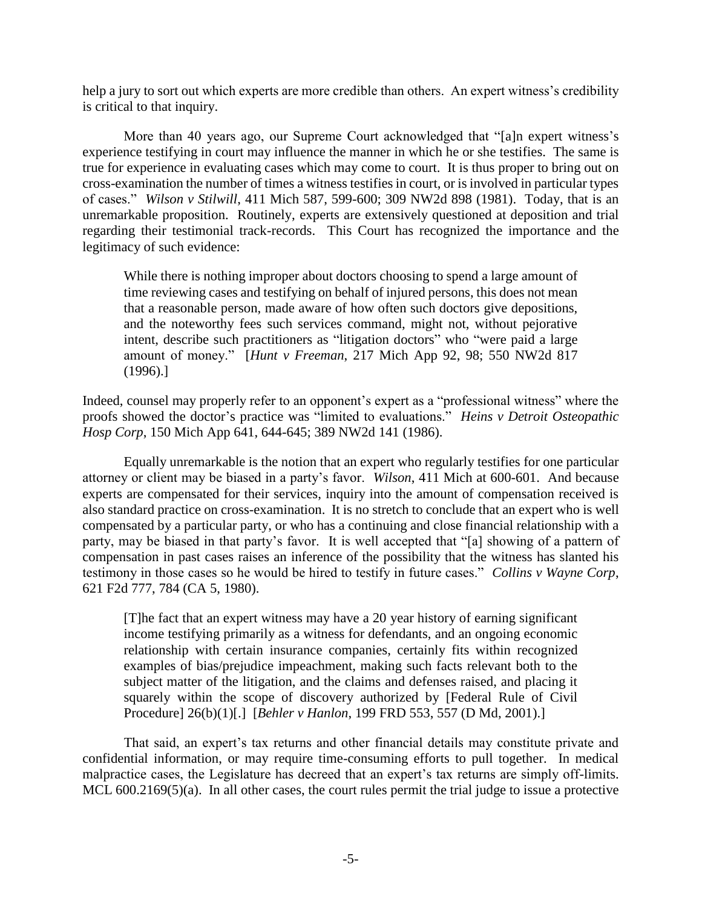help a jury to sort out which experts are more credible than others. An expert witness's credibility is critical to that inquiry.

More than 40 years ago, our Supreme Court acknowledged that "[a]n expert witness's experience testifying in court may influence the manner in which he or she testifies. The same is true for experience in evaluating cases which may come to court. It is thus proper to bring out on cross-examination the number of times a witness testifies in court, or is involved in particular types of cases." *Wilson v Stilwill*, 411 Mich 587, 599-600; 309 NW2d 898 (1981). Today, that is an unremarkable proposition. Routinely, experts are extensively questioned at deposition and trial regarding their testimonial track-records. This Court has recognized the importance and the legitimacy of such evidence:

While there is nothing improper about doctors choosing to spend a large amount of time reviewing cases and testifying on behalf of injured persons, this does not mean that a reasonable person, made aware of how often such doctors give depositions, and the noteworthy fees such services command, might not, without pejorative intent, describe such practitioners as "litigation doctors" who "were paid a large amount of money." [*Hunt v Freeman*, 217 Mich App 92, 98; 550 NW2d 817 (1996).]

Indeed, counsel may properly refer to an opponent's expert as a "professional witness" where the proofs showed the doctor's practice was "limited to evaluations." *Heins v Detroit Osteopathic Hosp Corp*, 150 Mich App 641, 644-645; 389 NW2d 141 (1986).

Equally unremarkable is the notion that an expert who regularly testifies for one particular attorney or client may be biased in a party's favor. *Wilson*, 411 Mich at 600-601. And because experts are compensated for their services, inquiry into the amount of compensation received is also standard practice on cross-examination. It is no stretch to conclude that an expert who is well compensated by a particular party, or who has a continuing and close financial relationship with a party, may be biased in that party's favor. It is well accepted that "[a] showing of a pattern of compensation in past cases raises an inference of the possibility that the witness has slanted his testimony in those cases so he would be hired to testify in future cases." *Collins v Wayne Corp*, 621 F2d 777, 784 (CA 5, 1980).

[T]he fact that an expert witness may have a 20 year history of earning significant income testifying primarily as a witness for defendants, and an ongoing economic relationship with certain insurance companies, certainly fits within recognized examples of bias/prejudice impeachment, making such facts relevant both to the subject matter of the litigation, and the claims and defenses raised, and placing it squarely within the scope of discovery authorized by [Federal Rule of Civil Procedure] 26(b)(1)[.] [*Behler v Hanlon*, 199 FRD 553, 557 (D Md, 2001).]

That said, an expert's tax returns and other financial details may constitute private and confidential information, or may require time-consuming efforts to pull together. In medical malpractice cases, the Legislature has decreed that an expert's tax returns are simply off-limits. MCL 600.2169(5)(a). In all other cases, the court rules permit the trial judge to issue a protective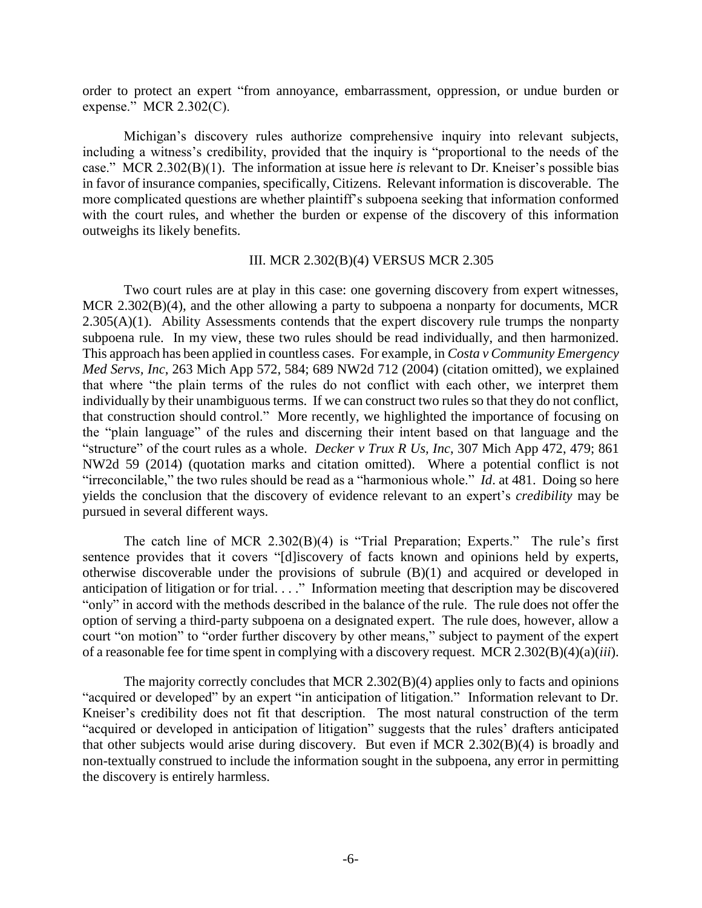order to protect an expert "from annoyance, embarrassment, oppression, or undue burden or expense." MCR 2.302(C).

Michigan's discovery rules authorize comprehensive inquiry into relevant subjects, including a witness's credibility, provided that the inquiry is "proportional to the needs of the case." MCR 2.302(B)(1). The information at issue here *is* relevant to Dr. Kneiser's possible bias in favor of insurance companies, specifically, Citizens. Relevant information is discoverable. The more complicated questions are whether plaintiff's subpoena seeking that information conformed with the court rules, and whether the burden or expense of the discovery of this information outweighs its likely benefits.

#### III. MCR 2.302(B)(4) VERSUS MCR 2.305

Two court rules are at play in this case: one governing discovery from expert witnesses, MCR 2.302(B)(4), and the other allowing a party to subpoena a nonparty for documents, MCR  $2.305(A)(1)$ . Ability Assessments contends that the expert discovery rule trumps the nonparty subpoena rule. In my view, these two rules should be read individually, and then harmonized. This approach has been applied in countless cases. For example, in *Costa v Community Emergency Med Servs, Inc*, 263 Mich App 572, 584; 689 NW2d 712 (2004) (citation omitted), we explained that where "the plain terms of the rules do not conflict with each other, we interpret them individually by their unambiguous terms. If we can construct two rules so that they do not conflict, that construction should control." More recently, we highlighted the importance of focusing on the "plain language" of the rules and discerning their intent based on that language and the "structure" of the court rules as a whole. *Decker v Trux R Us, Inc*, 307 Mich App 472, 479; 861 NW2d 59 (2014) (quotation marks and citation omitted). Where a potential conflict is not "irreconcilable," the two rules should be read as a "harmonious whole." *Id*. at 481. Doing so here yields the conclusion that the discovery of evidence relevant to an expert's *credibility* may be pursued in several different ways.

The catch line of MCR 2.302(B)(4) is "Trial Preparation; Experts." The rule's first sentence provides that it covers "[d]iscovery of facts known and opinions held by experts, otherwise discoverable under the provisions of subrule (B)(1) and acquired or developed in anticipation of litigation or for trial. . . ." Information meeting that description may be discovered "only" in accord with the methods described in the balance of the rule. The rule does not offer the option of serving a third-party subpoena on a designated expert. The rule does, however, allow a court "on motion" to "order further discovery by other means," subject to payment of the expert of a reasonable fee for time spent in complying with a discovery request. MCR 2.302(B)(4)(a)(*iii*).

The majority correctly concludes that MCR 2.302(B)(4) applies only to facts and opinions "acquired or developed" by an expert "in anticipation of litigation." Information relevant to Dr. Kneiser's credibility does not fit that description. The most natural construction of the term "acquired or developed in anticipation of litigation" suggests that the rules' drafters anticipated that other subjects would arise during discovery. But even if MCR 2.302(B)(4) is broadly and non-textually construed to include the information sought in the subpoena, any error in permitting the discovery is entirely harmless.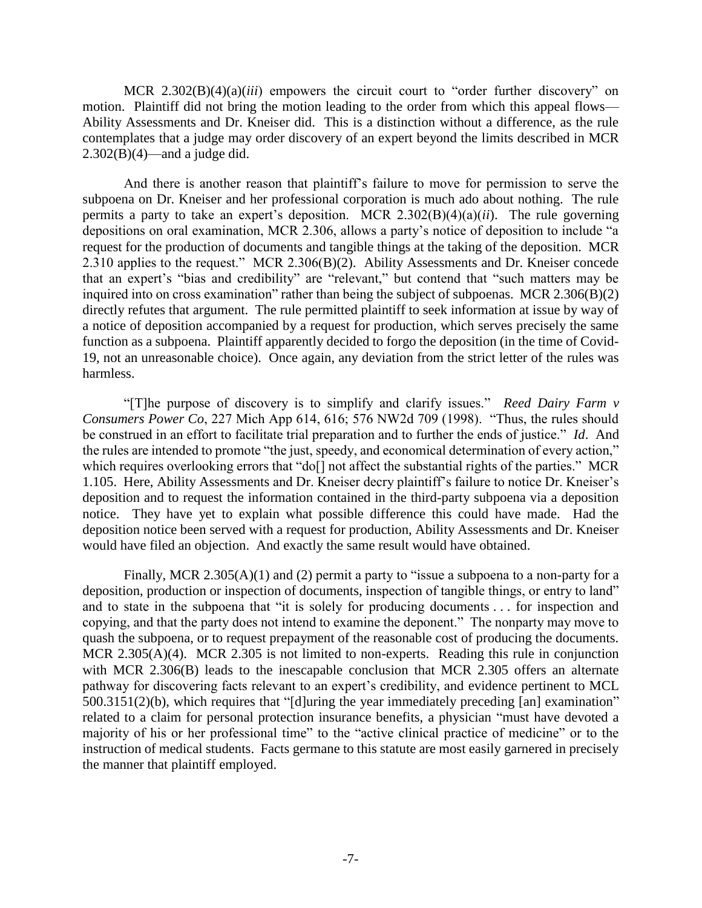MCR 2.302(B)(4)(a)(*iii*) empowers the circuit court to "order further discovery" on motion. Plaintiff did not bring the motion leading to the order from which this appeal flows— Ability Assessments and Dr. Kneiser did. This is a distinction without a difference, as the rule contemplates that a judge may order discovery of an expert beyond the limits described in MCR  $2.302(B)(4)$ —and a judge did.

And there is another reason that plaintiff's failure to move for permission to serve the subpoena on Dr. Kneiser and her professional corporation is much ado about nothing. The rule permits a party to take an expert's deposition. MCR 2.302(B)(4)(a)(*ii*). The rule governing depositions on oral examination, MCR 2.306, allows a party's notice of deposition to include "a request for the production of documents and tangible things at the taking of the deposition. MCR 2.310 applies to the request." MCR 2.306(B)(2). Ability Assessments and Dr. Kneiser concede that an expert's "bias and credibility" are "relevant," but contend that "such matters may be inquired into on cross examination" rather than being the subject of subpoenas. MCR 2.306(B)(2) directly refutes that argument. The rule permitted plaintiff to seek information at issue by way of a notice of deposition accompanied by a request for production, which serves precisely the same function as a subpoena. Plaintiff apparently decided to forgo the deposition (in the time of Covid-19, not an unreasonable choice). Once again, any deviation from the strict letter of the rules was harmless.

"[T]he purpose of discovery is to simplify and clarify issues." *Reed Dairy Farm v Consumers Power Co*, 227 Mich App 614, 616; 576 NW2d 709 (1998). "Thus, the rules should be construed in an effort to facilitate trial preparation and to further the ends of justice." *Id*. And the rules are intended to promote "the just, speedy, and economical determination of every action," which requires overlooking errors that "do[] not affect the substantial rights of the parties." MCR 1.105. Here, Ability Assessments and Dr. Kneiser decry plaintiff's failure to notice Dr. Kneiser's deposition and to request the information contained in the third-party subpoena via a deposition notice. They have yet to explain what possible difference this could have made. Had the deposition notice been served with a request for production, Ability Assessments and Dr. Kneiser would have filed an objection. And exactly the same result would have obtained.

Finally, MCR 2.305(A)(1) and (2) permit a party to "issue a subpoena to a non-party for a deposition, production or inspection of documents, inspection of tangible things, or entry to land" and to state in the subpoena that "it is solely for producing documents . . . for inspection and copying, and that the party does not intend to examine the deponent." The nonparty may move to quash the subpoena, or to request prepayment of the reasonable cost of producing the documents. MCR 2.305(A)(4). MCR 2.305 is not limited to non-experts. Reading this rule in conjunction with MCR 2.306(B) leads to the inescapable conclusion that MCR 2.305 offers an alternate pathway for discovering facts relevant to an expert's credibility, and evidence pertinent to MCL 500.3151(2)(b), which requires that "[d]uring the year immediately preceding [an] examination" related to a claim for personal protection insurance benefits, a physician "must have devoted a majority of his or her professional time" to the "active clinical practice of medicine" or to the instruction of medical students. Facts germane to this statute are most easily garnered in precisely the manner that plaintiff employed.